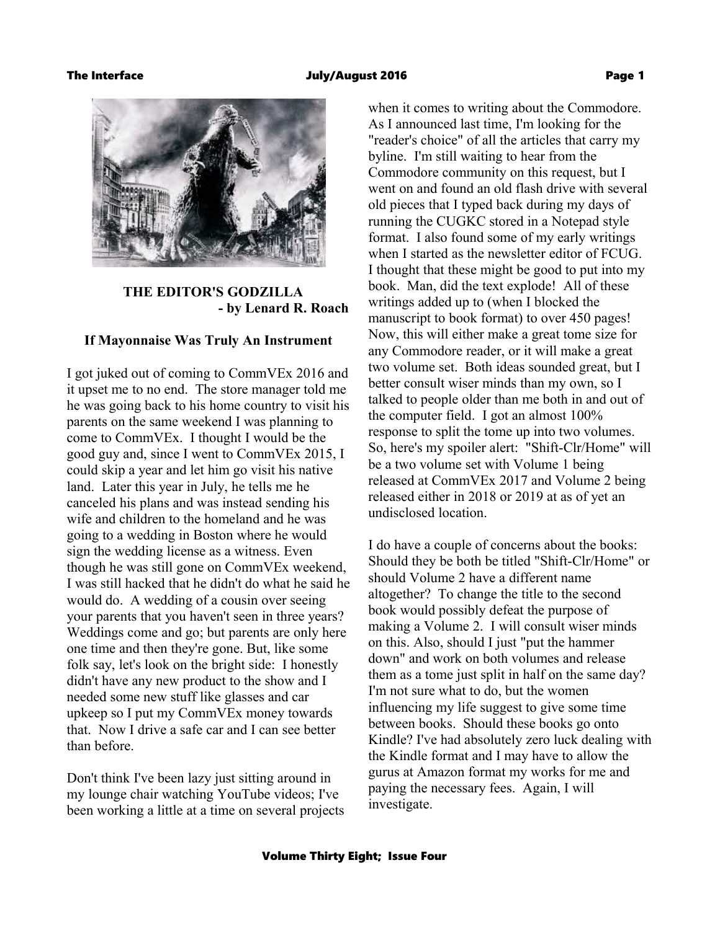#### The Interface July/August 2016 Page 1



### **THE EDITOR'S GODZILLA - by Lenard R. Roach**

#### **If Mayonnaise Was Truly An Instrument**

I got juked out of coming to CommVEx 2016 and it upset me to no end. The store manager told me he was going back to his home country to visit his parents on the same weekend I was planning to come to CommVEx. I thought I would be the good guy and, since I went to CommVEx 2015, I could skip a year and let him go visit his native land. Later this year in July, he tells me he canceled his plans and was instead sending his wife and children to the homeland and he was going to a wedding in Boston where he would sign the wedding license as a witness. Even though he was still gone on CommVEx weekend, I was still hacked that he didn't do what he said he would do. A wedding of a cousin over seeing your parents that you haven't seen in three years? Weddings come and go; but parents are only here one time and then they're gone. But, like some folk say, let's look on the bright side: I honestly didn't have any new product to the show and I needed some new stuff like glasses and car upkeep so I put my CommVEx money towards that. Now I drive a safe car and I can see better than before.

Don't think I've been lazy just sitting around in my lounge chair watching YouTube videos; I've been working a little at a time on several projects when it comes to writing about the Commodore. As I announced last time, I'm looking for the "reader's choice" of all the articles that carry my byline. I'm still waiting to hear from the Commodore community on this request, but I went on and found an old flash drive with several old pieces that I typed back during my days of running the CUGKC stored in a Notepad style format. I also found some of my early writings when I started as the newsletter editor of FCUG. I thought that these might be good to put into my book. Man, did the text explode! All of these writings added up to (when I blocked the manuscript to book format) to over 450 pages! Now, this will either make a great tome size for any Commodore reader, or it will make a great two volume set. Both ideas sounded great, but I better consult wiser minds than my own, so I talked to people older than me both in and out of the computer field. I got an almost 100% response to split the tome up into two volumes. So, here's my spoiler alert: "Shift-Clr/Home" will be a two volume set with Volume 1 being released at CommVEx 2017 and Volume 2 being released either in 2018 or 2019 at as of yet an undisclosed location.

I do have a couple of concerns about the books: Should they be both be titled "Shift-Clr/Home" or should Volume 2 have a different name altogether? To change the title to the second book would possibly defeat the purpose of making a Volume 2. I will consult wiser minds on this. Also, should I just "put the hammer down" and work on both volumes and release them as a tome just split in half on the same day? I'm not sure what to do, but the women influencing my life suggest to give some time between books. Should these books go onto Kindle? I've had absolutely zero luck dealing with the Kindle format and I may have to allow the gurus at Amazon format my works for me and paying the necessary fees. Again, I will investigate.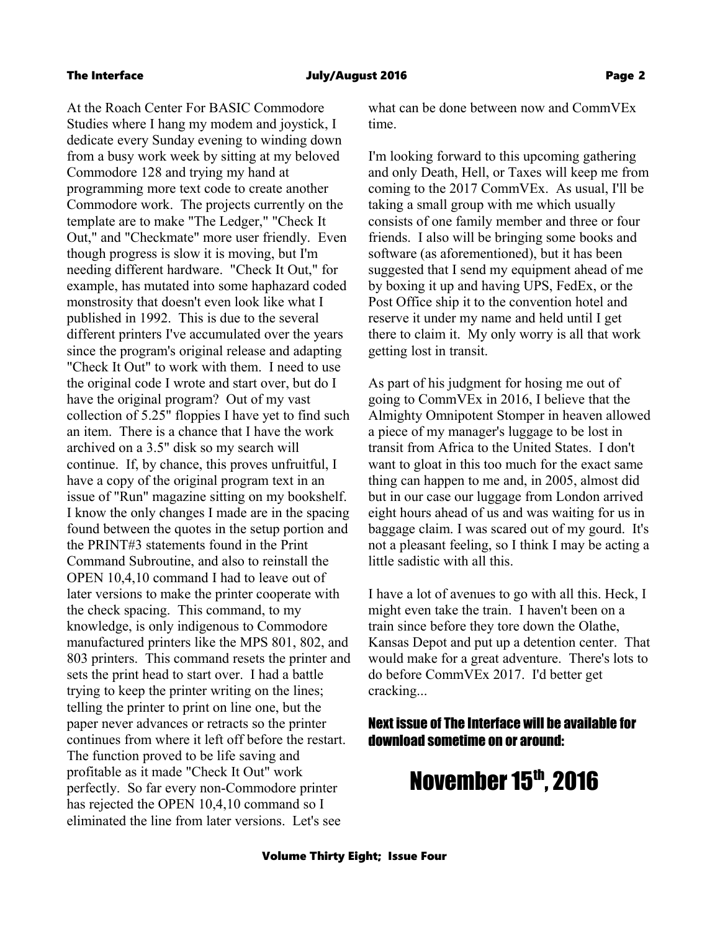At the Roach Center For BASIC Commodore Studies where I hang my modem and joystick, I dedicate every Sunday evening to winding down from a busy work week by sitting at my beloved Commodore 128 and trying my hand at programming more text code to create another Commodore work. The projects currently on the template are to make "The Ledger," "Check It Out," and "Checkmate" more user friendly. Even though progress is slow it is moving, but I'm needing different hardware. "Check It Out," for example, has mutated into some haphazard coded monstrosity that doesn't even look like what I published in 1992. This is due to the several different printers I've accumulated over the years since the program's original release and adapting "Check It Out" to work with them. I need to use the original code I wrote and start over, but do I have the original program? Out of my vast collection of 5.25" floppies I have yet to find such an item. There is a chance that I have the work archived on a 3.5" disk so my search will continue. If, by chance, this proves unfruitful, I have a copy of the original program text in an issue of "Run" magazine sitting on my bookshelf. I know the only changes I made are in the spacing found between the quotes in the setup portion and the PRINT#3 statements found in the Print Command Subroutine, and also to reinstall the OPEN 10,4,10 command I had to leave out of later versions to make the printer cooperate with the check spacing. This command, to my knowledge, is only indigenous to Commodore manufactured printers like the MPS 801, 802, and 803 printers. This command resets the printer and sets the print head to start over. I had a battle trying to keep the printer writing on the lines; telling the printer to print on line one, but the paper never advances or retracts so the printer continues from where it left off before the restart. The function proved to be life saving and profitable as it made "Check It Out" work perfectly. So far every non-Commodore printer has rejected the OPEN 10,4,10 command so I eliminated the line from later versions. Let's see

what can be done between now and CommVEx time.

I'm looking forward to this upcoming gathering and only Death, Hell, or Taxes will keep me from coming to the 2017 CommVEx. As usual, I'll be taking a small group with me which usually consists of one family member and three or four friends. I also will be bringing some books and software (as aforementioned), but it has been suggested that I send my equipment ahead of me by boxing it up and having UPS, FedEx, or the Post Office ship it to the convention hotel and reserve it under my name and held until I get there to claim it. My only worry is all that work getting lost in transit.

As part of his judgment for hosing me out of going to CommVEx in 2016, I believe that the Almighty Omnipotent Stomper in heaven allowed a piece of my manager's luggage to be lost in transit from Africa to the United States. I don't want to gloat in this too much for the exact same thing can happen to me and, in 2005, almost did but in our case our luggage from London arrived eight hours ahead of us and was waiting for us in baggage claim. I was scared out of my gourd. It's not a pleasant feeling, so I think I may be acting a little sadistic with all this.

I have a lot of avenues to go with all this. Heck, I might even take the train. I haven't been on a train since before they tore down the Olathe, Kansas Depot and put up a detention center. That would make for a great adventure. There's lots to do before CommVEx 2017. I'd better get cracking...

### Next issue of The Interface will be available for download sometime on or around:

# November 15th, 2016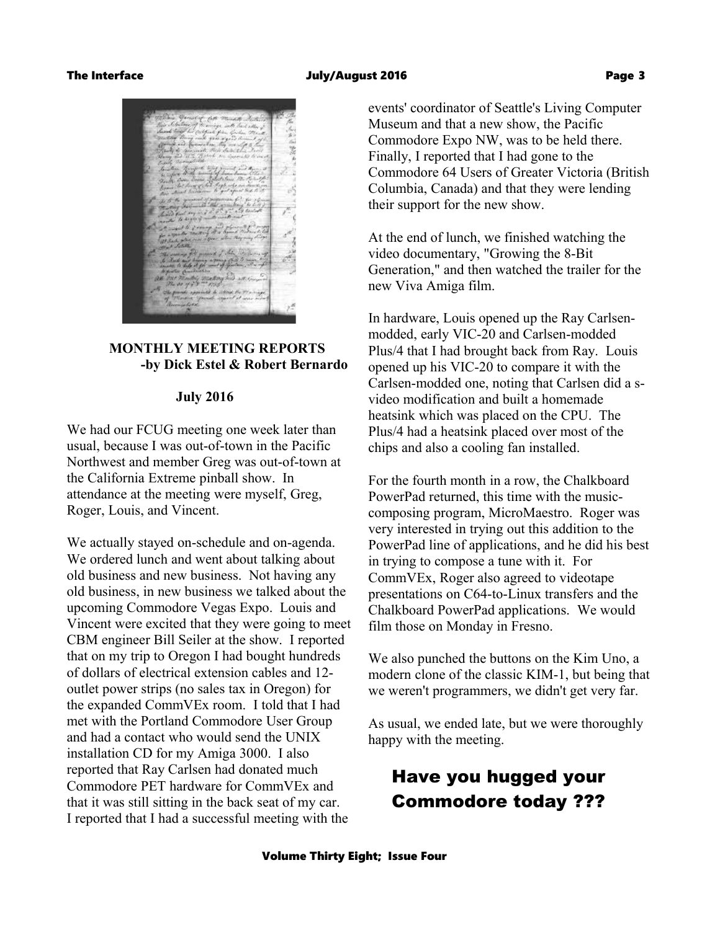

### **MONTHLY MEETING REPORTS -by Dick Estel & Robert Bernardo**

### **July 2016**

We had our FCUG meeting one week later than usual, because I was out-of-town in the Pacific Northwest and member Greg was out-of-town at the California Extreme pinball show. In attendance at the meeting were myself, Greg, Roger, Louis, and Vincent.

We actually stayed on-schedule and on-agenda. We ordered lunch and went about talking about old business and new business. Not having any old business, in new business we talked about the upcoming Commodore Vegas Expo. Louis and Vincent were excited that they were going to meet CBM engineer Bill Seiler at the show. I reported that on my trip to Oregon I had bought hundreds of dollars of electrical extension cables and 12 outlet power strips (no sales tax in Oregon) for the expanded CommVEx room. I told that I had met with the Portland Commodore User Group and had a contact who would send the UNIX installation CD for my Amiga 3000. I also reported that Ray Carlsen had donated much Commodore PET hardware for CommVEx and that it was still sitting in the back seat of my car. I reported that I had a successful meeting with the

events' coordinator of Seattle's Living Computer Museum and that a new show, the Pacific Commodore Expo NW, was to be held there. Finally, I reported that I had gone to the Commodore 64 Users of Greater Victoria (British Columbia, Canada) and that they were lending their support for the new show.

At the end of lunch, we finished watching the video documentary, "Growing the 8-Bit Generation," and then watched the trailer for the new Viva Amiga film.

In hardware, Louis opened up the Ray Carlsenmodded, early VIC-20 and Carlsen-modded Plus/4 that I had brought back from Ray. Louis opened up his VIC-20 to compare it with the Carlsen-modded one, noting that Carlsen did a svideo modification and built a homemade heatsink which was placed on the CPU. The Plus/4 had a heatsink placed over most of the chips and also a cooling fan installed.

For the fourth month in a row, the Chalkboard PowerPad returned, this time with the musiccomposing program, MicroMaestro. Roger was very interested in trying out this addition to the PowerPad line of applications, and he did his best in trying to compose a tune with it. For CommVEx, Roger also agreed to videotape presentations on C64-to-Linux transfers and the Chalkboard PowerPad applications. We would film those on Monday in Fresno.

We also punched the buttons on the Kim Uno, a modern clone of the classic KIM-1, but being that we weren't programmers, we didn't get very far.

As usual, we ended late, but we were thoroughly happy with the meeting.

## Have you hugged your Commodore today ???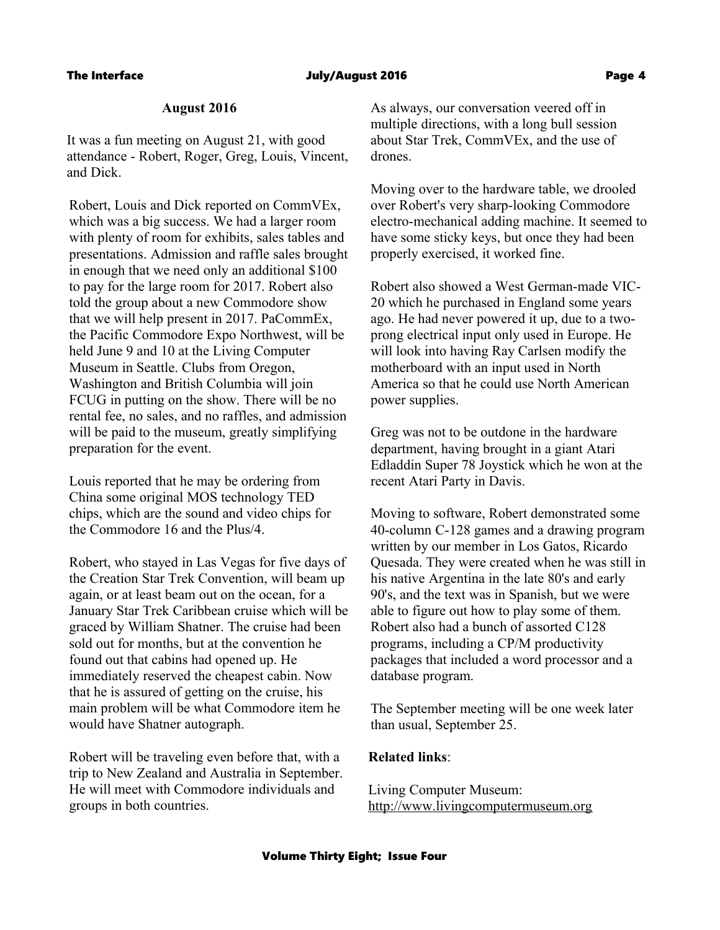### The Interface The Controller of the United States of the United States of the Page 4

### **August 2016**

It was a fun meeting on August 21, with good attendance - Robert, Roger, Greg, Louis, Vincent, and Dick.

Robert, Louis and Dick reported on CommVEx, which was a big success. We had a larger room with plenty of room for exhibits, sales tables and presentations. Admission and raffle sales brought in enough that we need only an additional \$100 to pay for the large room for 2017. Robert also told the group about a new Commodore show that we will help present in 2017. PaCommEx, the Pacific Commodore Expo Northwest, will be held June 9 and 10 at the Living Computer Museum in Seattle. Clubs from Oregon, Washington and British Columbia will join FCUG in putting on the show. There will be no rental fee, no sales, and no raffles, and admission will be paid to the museum, greatly simplifying preparation for the event.

Louis reported that he may be ordering from China some original MOS technology TED chips, which are the sound and video chips for the Commodore 16 and the Plus/4.

Robert, who stayed in Las Vegas for five days of the Creation Star Trek Convention, will beam up again, or at least beam out on the ocean, for a January Star Trek Caribbean cruise which will be graced by William Shatner. The cruise had been sold out for months, but at the convention he found out that cabins had opened up. He immediately reserved the cheapest cabin. Now that he is assured of getting on the cruise, his main problem will be what Commodore item he would have Shatner autograph.

Robert will be traveling even before that, with a trip to New Zealand and Australia in September. He will meet with Commodore individuals and groups in both countries.

As always, our conversation veered off in multiple directions, with a long bull session about Star Trek, CommVEx, and the use of drones.

Moving over to the hardware table, we drooled over Robert's very sharp-looking Commodore electro-mechanical adding machine. It seemed to have some sticky keys, but once they had been properly exercised, it worked fine.

Robert also showed a West German-made VIC-20 which he purchased in England some years ago. He had never powered it up, due to a twoprong electrical input only used in Europe. He will look into having Ray Carlsen modify the motherboard with an input used in North America so that he could use North American power supplies.

Greg was not to be outdone in the hardware department, having brought in a giant Atari Edladdin Super 78 Joystick which he won at the recent Atari Party in Davis.

Moving to software, Robert demonstrated some 40-column C-128 games and a drawing program written by our member in Los Gatos, Ricardo Quesada. They were created when he was still in his native Argentina in the late 80's and early 90's, and the text was in Spanish, but we were able to figure out how to play some of them. Robert also had a bunch of assorted C128 programs, including a CP/M productivity packages that included a word processor and a database program.

The September meeting will be one week later than usual, September 25.

### **Related links**:

Living Computer Museum: [http://www.livingcomputermuseum.org](http://www.livingcomputermuseum.org/)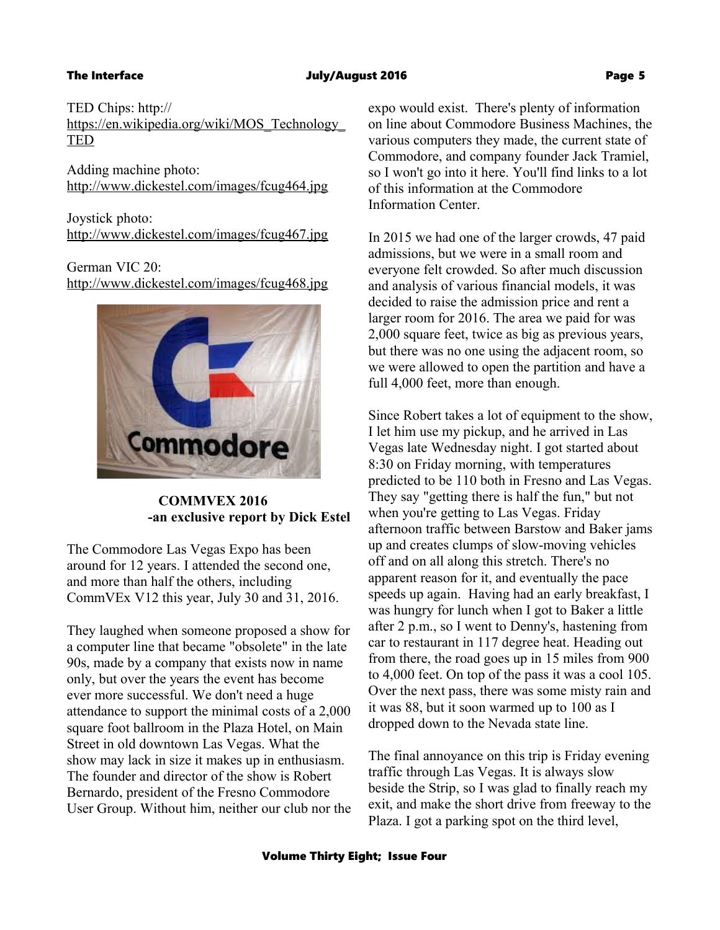[TED](https://en.wikipedia.org/wiki/MOS_Technology_TED)

### The Interface The Interface Controller and the July/August 2016 Controller and the Dege 5

TED Chips: http:// [https://en.wikipedia.org/wiki/MOS\\_Technology\\_](https://en.wikipedia.org/wiki/MOS_Technology_TED)

Adding machine photo: <http://www.dickestel.com/images/fcug464.jpg>

Joystick photo: <http://www.dickestel.com/images/fcug467.jpg>

German VIC 20:

<http://www.dickestel.com/images/fcug468.jpg>



 **COMMVEX 2016 -an exclusive report by Dick Estel**

The Commodore Las Vegas Expo has been around for 12 years. I attended the second one, and more than half the others, including CommVEx V12 this year, July 30 and 31, 2016.

They laughed when someone proposed a show for a computer line that became "obsolete" in the late 90s, made by a company that exists now in name only, but over the years the event has become ever more successful. We don't need a huge attendance to support the minimal costs of a 2,000 square foot ballroom in the Plaza Hotel, on Main Street in old downtown Las Vegas. What the show may lack in size it makes up in enthusiasm. The founder and director of the show is Robert Bernardo, president of the Fresno Commodore User Group. Without him, neither our club nor the expo would exist. There's plenty of information on line about Commodore Business Machines, the various computers they made, the current state of Commodore, and company founder Jack Tramiel, so I won't go into it here. You'll find links to a lot of this information at the Commodore Information Center.

In 2015 we had one of the larger crowds, 47 paid admissions, but we were in a small room and everyone felt crowded. So after much discussion and analysis of various financial models, it was decided to raise the admission price and rent a larger room for 2016. The area we paid for was 2,000 square feet, twice as big as previous years, but there was no one using the adjacent room, so we were allowed to open the partition and have a full 4,000 feet, more than enough.

Since Robert takes a lot of equipment to the show, I let him use my pickup, and he arrived in Las Vegas late Wednesday night. I got started about 8:30 on Friday morning, with temperatures predicted to be 110 both in Fresno and Las Vegas. They say "getting there is half the fun," but not when you're getting to Las Vegas. Friday afternoon traffic between Barstow and Baker jams up and creates clumps of slow-moving vehicles off and on all along this stretch. There's no apparent reason for it, and eventually the pace speeds up again. Having had an early breakfast, I was hungry for lunch when I got to Baker a little after 2 p.m., so I went to Denny's, hastening from car to restaurant in 117 degree heat. Heading out from there, the road goes up in 15 miles from 900 to 4,000 feet. On top of the pass it was a cool 105. Over the next pass, there was some misty rain and it was 88, but it soon warmed up to 100 as I dropped down to the Nevada state line.

The final annoyance on this trip is Friday evening traffic through Las Vegas. It is always slow beside the Strip, so I was glad to finally reach my exit, and make the short drive from freeway to the Plaza. I got a parking spot on the third level,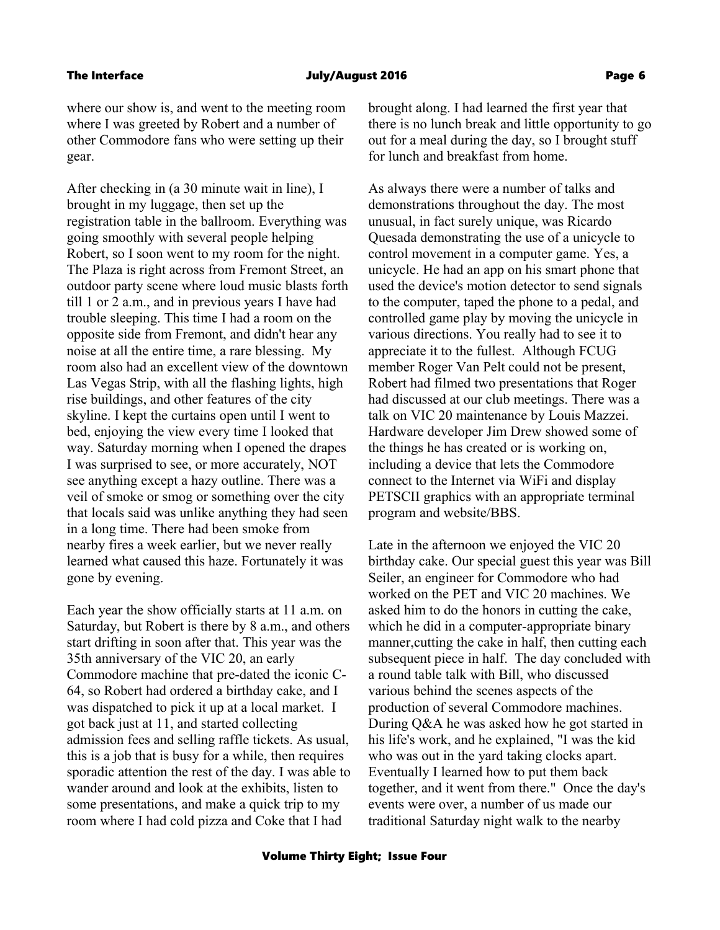#### The Interface July/August 2016 Page 6

where our show is, and went to the meeting room where I was greeted by Robert and a number of other Commodore fans who were setting up their gear.

After checking in (a 30 minute wait in line), I brought in my luggage, then set up the registration table in the ballroom. Everything was going smoothly with several people helping Robert, so I soon went to my room for the night. The Plaza is right across from Fremont Street, an outdoor party scene where loud music blasts forth till 1 or 2 a.m., and in previous years I have had trouble sleeping. This time I had a room on the opposite side from Fremont, and didn't hear any noise at all the entire time, a rare blessing. My room also had an excellent view of the downtown Las Vegas Strip, with all the flashing lights, high rise buildings, and other features of the city skyline. I kept the curtains open until I went to bed, enjoying the view every time I looked that way. Saturday morning when I opened the drapes I was surprised to see, or more accurately, NOT see anything except a hazy outline. There was a veil of smoke or smog or something over the city that locals said was unlike anything they had seen in a long time. There had been smoke from nearby fires a week earlier, but we never really learned what caused this haze. Fortunately it was gone by evening.

Each year the show officially starts at 11 a.m. on Saturday, but Robert is there by 8 a.m., and others start drifting in soon after that. This year was the 35th anniversary of the VIC 20, an early Commodore machine that pre-dated the iconic C-64, so Robert had ordered a birthday cake, and I was dispatched to pick it up at a local market. I got back just at 11, and started collecting admission fees and selling raffle tickets. As usual, this is a job that is busy for a while, then requires sporadic attention the rest of the day. I was able to wander around and look at the exhibits, listen to some presentations, and make a quick trip to my room where I had cold pizza and Coke that I had

brought along. I had learned the first year that there is no lunch break and little opportunity to go out for a meal during the day, so I brought stuff for lunch and breakfast from home.

As always there were a number of talks and demonstrations throughout the day. The most unusual, in fact surely unique, was Ricardo Quesada demonstrating the use of a unicycle to control movement in a computer game. Yes, a unicycle. He had an app on his smart phone that used the device's motion detector to send signals to the computer, taped the phone to a pedal, and controlled game play by moving the unicycle in various directions. You really had to see it to appreciate it to the fullest. Although FCUG member Roger Van Pelt could not be present, Robert had filmed two presentations that Roger had discussed at our club meetings. There was a talk on VIC 20 maintenance by Louis Mazzei. Hardware developer Jim Drew showed some of the things he has created or is working on, including a device that lets the Commodore connect to the Internet via WiFi and display PETSCII graphics with an appropriate terminal program and website/BBS.

Late in the afternoon we enjoyed the VIC 20 birthday cake. Our special guest this year was Bill Seiler, an engineer for Commodore who had worked on the PET and VIC 20 machines. We asked him to do the honors in cutting the cake, which he did in a computer-appropriate binary manner,cutting the cake in half, then cutting each subsequent piece in half. The day concluded with a round table talk with Bill, who discussed various behind the scenes aspects of the production of several Commodore machines. During Q&A he was asked how he got started in his life's work, and he explained, "I was the kid who was out in the yard taking clocks apart. Eventually I learned how to put them back together, and it went from there." Once the day's events were over, a number of us made our traditional Saturday night walk to the nearby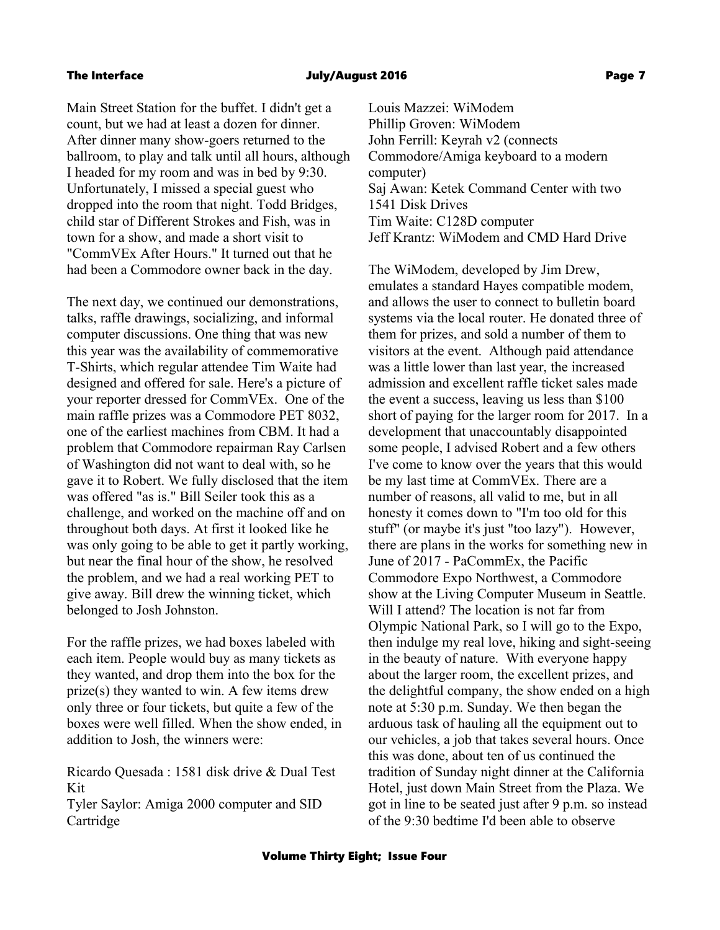### The Interface July/August 2016 Page 7

Main Street Station for the buffet. I didn't get a count, but we had at least a dozen for dinner. After dinner many show-goers returned to the ballroom, to play and talk until all hours, although I headed for my room and was in bed by 9:30. Unfortunately, I missed a special guest who dropped into the room that night. Todd Bridges, child star of Different Strokes and Fish, was in town for a show, and made a short visit to "CommVEx After Hours." It turned out that he had been a Commodore owner back in the day.

The next day, we continued our demonstrations, talks, raffle drawings, socializing, and informal computer discussions. One thing that was new this year was the availability of commemorative T-Shirts, which regular attendee Tim Waite had designed and offered for sale. Here's a picture of your reporter dressed for CommVEx. One of the main raffle prizes was a Commodore PET 8032, one of the earliest machines from CBM. It had a problem that Commodore repairman Ray Carlsen of Washington did not want to deal with, so he gave it to Robert. We fully disclosed that the item was offered "as is." Bill Seiler took this as a challenge, and worked on the machine off and on throughout both days. At first it looked like he was only going to be able to get it partly working, but near the final hour of the show, he resolved the problem, and we had a real working PET to give away. Bill drew the winning ticket, which belonged to Josh Johnston.

For the raffle prizes, we had boxes labeled with each item. People would buy as many tickets as they wanted, and drop them into the box for the prize(s) they wanted to win. A few items drew only three or four tickets, but quite a few of the boxes were well filled. When the show ended, in addition to Josh, the winners were:

Ricardo Quesada : 1581 disk drive & Dual Test Kit Tyler Saylor: Amiga 2000 computer and SID Cartridge

Louis Mazzei: WiModem Phillip Groven: WiModem John Ferrill: Keyrah v2 (connects Commodore/Amiga keyboard to a modern computer) Saj Awan: Ketek Command Center with two 1541 Disk Drives Tim Waite: C128D computer Jeff Krantz: WiModem and CMD Hard Drive

The WiModem, developed by Jim Drew, emulates a standard Hayes compatible modem, and allows the user to connect to bulletin board systems via the local router. He donated three of them for prizes, and sold a number of them to visitors at the event. Although paid attendance was a little lower than last year, the increased admission and excellent raffle ticket sales made the event a success, leaving us less than \$100 short of paying for the larger room for 2017. In a development that unaccountably disappointed some people, I advised Robert and a few others I've come to know over the years that this would be my last time at CommVEx. There are a number of reasons, all valid to me, but in all honesty it comes down to "I'm too old for this stuff" (or maybe it's just "too lazy"). However, there are plans in the works for something new in June of 2017 - PaCommEx, the Pacific Commodore Expo Northwest, a Commodore show at the Living Computer Museum in Seattle. Will I attend? The location is not far from Olympic National Park, so I will go to the Expo, then indulge my real love, hiking and sight-seeing in the beauty of nature. With everyone happy about the larger room, the excellent prizes, and the delightful company, the show ended on a high note at 5:30 p.m. Sunday. We then began the arduous task of hauling all the equipment out to our vehicles, a job that takes several hours. Once this was done, about ten of us continued the tradition of Sunday night dinner at the California Hotel, just down Main Street from the Plaza. We got in line to be seated just after 9 p.m. so instead of the 9:30 bedtime I'd been able to observe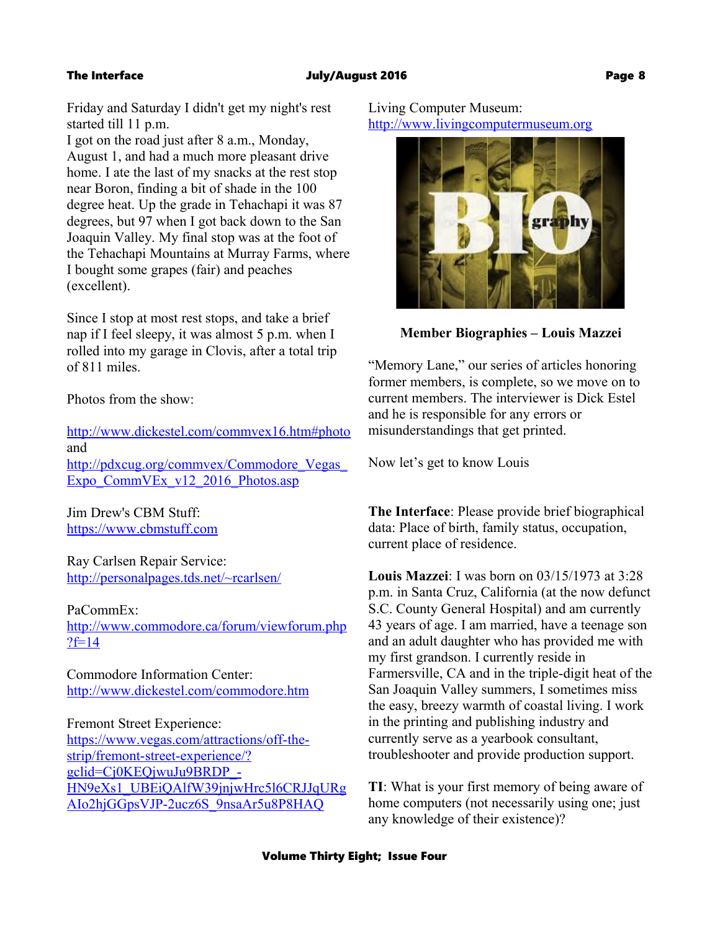Friday and Saturday I didn't get my night's rest started till 11 p.m.

I got on the road just after 8 a.m., Monday, August 1, and had a much more pleasant drive home. I ate the last of my snacks at the rest stop near Boron, finding a bit of shade in the 100 degree heat. Up the grade in Tehachapi it was 87 degrees, but 97 when I got back down to the San Joaquin Valley. My final stop was at the foot of the Tehachapi Mountains at Murray Farms, where I bought some grapes (fair) and peaches (excellent).

Since I stop at most rest stops, and take a brief nap if I feel sleepy, it was almost 5 p.m. when I rolled into my garage in Clovis, after a total trip of 811 miles.

Photos from the show:

<http://www.dickestel.com/commvex16.htm#photo> and [http://pdxcug.org/commvex/Commodore\\_Vegas\\_](http://pdxcug.org/commvex/Commodore_Vegas_Expo_CommVEx_v12_2016_Photos.asp) [Expo\\_CommVEx\\_v12\\_2016\\_Photos.asp](http://pdxcug.org/commvex/Commodore_Vegas_Expo_CommVEx_v12_2016_Photos.asp)

Jim Drew's CBM Stuff: [https://www.cbmstuff.com](https://www.cbmstuff.com/)

Ray Carlsen Repair Service: <http://personalpages.tds.net/~rcarlsen/>

PaCommEx: [http://www.commodore.ca/forum/viewforum.php](http://www.commodore.ca/forum/viewforum.php?f=14) ? $f=14$ 

Commodore Information Center: <http://www.dickestel.com/commodore.htm>

Fremont Street Experience: [https://www.vegas.com/attractions/off-the](https://www.vegas.com/attractions/off-the-strip/fremont-street-experience/?gclid=Cj0KEQjwuJu9BRDP_-HN9eXs1_UBEiQAlfW39jnjwHrc5l6CRJJqURgAIo2hjGGpsVJP-2ucz6S_9nsaAr5u8P8HAQ)strip/fremont-street-experience/? gclid=Cj0KEQjwuJu9BRDP\_- [HN9eXs1\\_UBEiQAlfW39jnjwHrc5l6CRJJqURg](https://www.vegas.com/attractions/off-the-strip/fremont-street-experience/?gclid=Cj0KEQjwuJu9BRDP_-HN9eXs1_UBEiQAlfW39jnjwHrc5l6CRJJqURgAIo2hjGGpsVJP-2ucz6S_9nsaAr5u8P8HAQ) [AIo2hjGGpsVJP-2ucz6S\\_9nsaAr5u8P8HAQ](https://www.vegas.com/attractions/off-the-strip/fremont-street-experience/?gclid=Cj0KEQjwuJu9BRDP_-HN9eXs1_UBEiQAlfW39jnjwHrc5l6CRJJqURgAIo2hjGGpsVJP-2ucz6S_9nsaAr5u8P8HAQ)

Living Computer Museum: [http://www.livingcomputermuseum.org](http://www.livingcomputermuseum.org/)



 **Member Biographies – Louis Mazzei**

"Memory Lane," our series of articles honoring former members, is complete, so we move on to current members. The interviewer is Dick Estel and he is responsible for any errors or misunderstandings that get printed.

Now let's get to know Louis

**The Interface**: Please provide brief biographical data: Place of birth, family status, occupation, current place of residence.

**Louis Mazzei**: I was born on 03/15/1973 at 3:28 p.m. in Santa Cruz, California (at the now defunct S.C. County General Hospital) and am currently 43 years of age. I am married, have a teenage son and an adult daughter who has provided me with my first grandson. I currently reside in Farmersville, CA and in the triple-digit heat of the San Joaquin Valley summers, I sometimes miss the easy, breezy warmth of coastal living. I work in the printing and publishing industry and currently serve as a yearbook consultant, troubleshooter and provide production support.

**TI**: What is your first memory of being aware of home computers (not necessarily using one; just any knowledge of their existence)?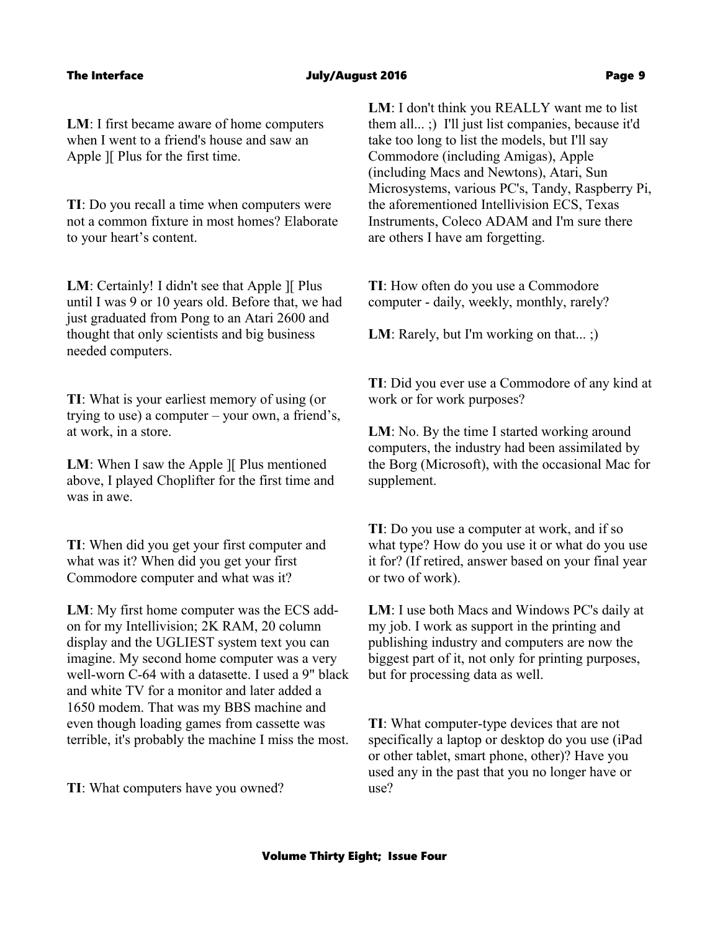**LM**: I first became aware of home computers when I went to a friend's house and saw an Apple ][ Plus for the first time.

**TI**: Do you recall a time when computers were not a common fixture in most homes? Elaborate to your heart's content.

**LM**: Certainly! I didn't see that Apple II Plus until I was 9 or 10 years old. Before that, we had just graduated from Pong to an Atari 2600 and thought that only scientists and big business needed computers.

**TI**: What is your earliest memory of using (or trying to use) a computer – your own, a friend's, at work, in a store.

**LM**: When I saw the Apple II Plus mentioned above, I played Choplifter for the first time and was in awe.

**TI**: When did you get your first computer and what was it? When did you get your first Commodore computer and what was it?

**LM**: My first home computer was the ECS addon for my Intellivision; 2K RAM, 20 column display and the UGLIEST system text you can imagine. My second home computer was a very well-worn C-64 with a datasette. I used a 9" black and white TV for a monitor and later added a 1650 modem. That was my BBS machine and even though loading games from cassette was terrible, it's probably the machine I miss the most.

**TI**: What computers have you owned?

**LM**: I don't think you REALLY want me to list them all... ;) I'll just list companies, because it'd take too long to list the models, but I'll say Commodore (including Amigas), Apple (including Macs and Newtons), Atari, Sun Microsystems, various PC's, Tandy, Raspberry Pi, the aforementioned Intellivision ECS, Texas Instruments, Coleco ADAM and I'm sure there are others I have am forgetting.

**TI**: How often do you use a Commodore computer - daily, weekly, monthly, rarely?

**LM**: Rarely, but I'm working on that...;

**TI**: Did you ever use a Commodore of any kind at work or for work purposes?

**LM**: No. By the time I started working around computers, the industry had been assimilated by the Borg (Microsoft), with the occasional Mac for supplement.

**TI**: Do you use a computer at work, and if so what type? How do you use it or what do you use it for? (If retired, answer based on your final year or two of work).

**LM**: I use both Macs and Windows PC's daily at my job. I work as support in the printing and publishing industry and computers are now the biggest part of it, not only for printing purposes, but for processing data as well.

**TI**: What computer-type devices that are not specifically a laptop or desktop do you use (iPad or other tablet, smart phone, other)? Have you used any in the past that you no longer have or use?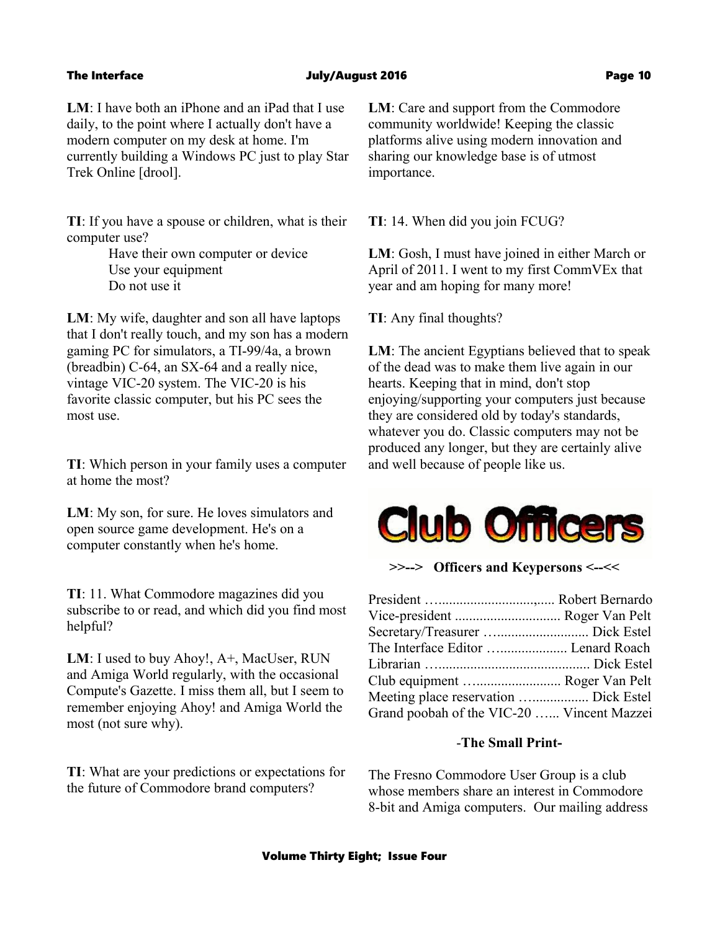#### The Interface The Interface Controller Sulvey Authorization of the University Authorization of the Page 10

**LM**: I have both an iPhone and an iPad that I use daily, to the point where I actually don't have a modern computer on my desk at home. I'm currently building a Windows PC just to play Star Trek Online [drool].

**TI**: If you have a spouse or children, what is their computer use?

> Have their own computer or device Use your equipment Do not use it

**LM**: My wife, daughter and son all have laptops that I don't really touch, and my son has a modern gaming PC for simulators, a TI-99/4a, a brown (breadbin) C-64, an SX-64 and a really nice, vintage VIC-20 system. The VIC-20 is his favorite classic computer, but his PC sees the most use.

**TI**: Which person in your family uses a computer at home the most?

**LM**: My son, for sure. He loves simulators and open source game development. He's on a computer constantly when he's home.

**TI**: 11. What Commodore magazines did you subscribe to or read, and which did you find most helpful?

**LM**: I used to buy Ahoy!, A+, MacUser, RUN and Amiga World regularly, with the occasional Compute's Gazette. I miss them all, but I seem to remember enjoying Ahoy! and Amiga World the most (not sure why).

**TI**: What are your predictions or expectations for the future of Commodore brand computers?

**LM**: Care and support from the Commodore community worldwide! Keeping the classic platforms alive using modern innovation and sharing our knowledge base is of utmost importance.

**TI**: 14. When did you join FCUG?

**LM**: Gosh, I must have joined in either March or April of 2011. I went to my first CommVEx that year and am hoping for many more!

**TI**: Any final thoughts?

**LM**: The ancient Egyptians believed that to speak of the dead was to make them live again in our hearts. Keeping that in mind, don't stop enjoying/supporting your computers just because they are considered old by today's standards, whatever you do. Classic computers may not be produced any longer, but they are certainly alive and well because of people like us.



**>>--> Officers and Keypersons <--<<**

| Vice-president  Roger Van Pelt             |  |
|--------------------------------------------|--|
|                                            |  |
| The Interface Editor  Lenard Roach         |  |
|                                            |  |
| Club equipment  Roger Van Pelt             |  |
|                                            |  |
| Grand poobah of the VIC-20  Vincent Mazzei |  |

### -**The Small Print-**

The Fresno Commodore User Group is a club whose members share an interest in Commodore 8-bit and Amiga computers. Our mailing address